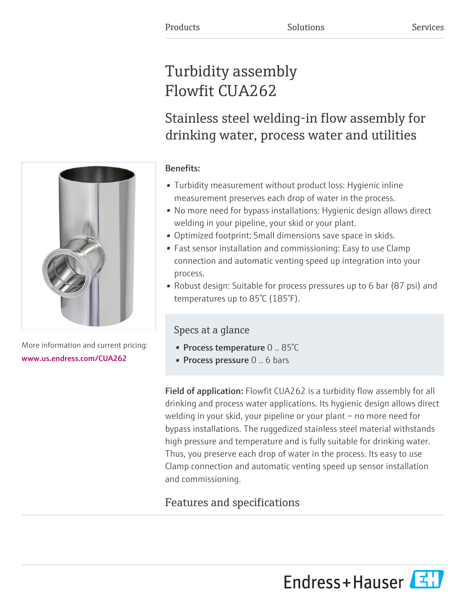# Turbidity assembly Flowfit CUA262

Stainless steel welding-in flow assembly for drinking water, process water and utilities

# Benefits:

- Turbidity measurement without product loss: Hygienic inline measurement preserves each drop of water in the process.
- No more need for bypass installations: Hygienic design allows direct welding in your pipeline, your skid or your plant.
- Optimized footprint: Small dimensions save space in skids.
- Fast sensor installation and commissioning: Easy to use Clamp connection and automatic venting speed up integration into your process.
- Robust design: Suitable for process pressures up to 6 bar (87 psi) and temperatures up to 85°C (185°F).

# Specs at a glance

- Process temperature  $0..85^{\circ}$ C
- **Process pressure** 0 .. 6 bars

Field of application: Flowfit CUA262 is a turbidity flow assembly for all drinking and process water applications. Its hygienic design allows direct welding in your skid, your pipeline or your plant – no more need for bypass installations. The ruggedized stainless steel material withstands high pressure and temperature and is fully suitable for drinking water. Thus, you preserve each drop of water in the process. Its easy to use Clamp connection and automatic venting speed up sensor installation and commissioning.

# Features and specifications



More information and current pricing: [www.us.endress.com/CUA262](https://www.us.endress.com/CUA262)

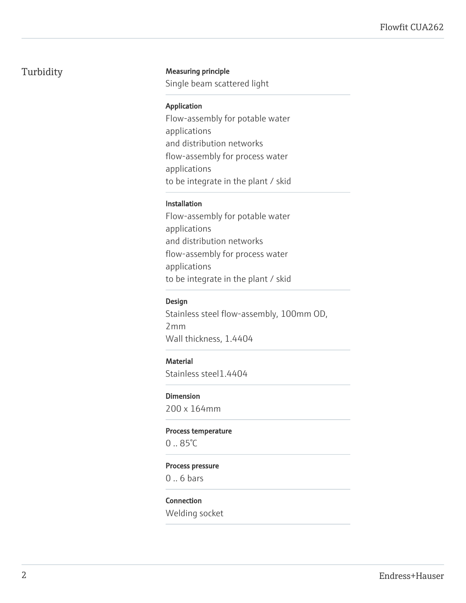## Turbidity Measuring principle

Single beam scattered light

#### Application

Flow-assembly for potable water applications and distribution networks flow-assembly for process water applications to be integrate in the plant / skid

#### Installation

Flow-assembly for potable water applications and distribution networks flow-assembly for process water applications to be integrate in the plant / skid

#### Design

Stainless steel flow-assembly, 100mm OD, 2mm Wall thickness, 1.4404

#### **Material**

Stainless steel1.4404

#### Dimension

200 x 164mm

#### Process temperature

0 .. 85°C

#### Process pressure

0 .. 6 bars

### Connection

Welding socket